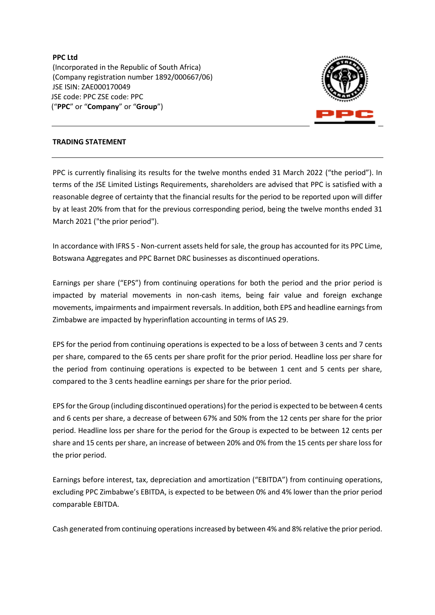**PPC Ltd** (Incorporated in the Republic of South Africa) (Company registration number 1892/000667/06) JSE ISIN: ZAE000170049 JSE code: PPC ZSE code: PPC ("**PPC**" or "**Company**" or "**Group**")



## **TRADING STATEMENT**

PPC is currently finalising its results for the twelve months ended 31 March 2022 ("the period"). In terms of the JSE Limited Listings Requirements, shareholders are advised that PPC is satisfied with a reasonable degree of certainty that the financial results for the period to be reported upon will differ by at least 20% from that for the previous corresponding period, being the twelve months ended 31 March 2021 ("the prior period").

In accordance with IFRS 5 - Non-current assets held for sale, the group has accounted for its PPC Lime, Botswana Aggregates and PPC Barnet DRC businesses as discontinued operations.

Earnings per share ("EPS") from continuing operations for both the period and the prior period is impacted by material movements in non-cash items, being fair value and foreign exchange movements, impairments and impairment reversals. In addition, both EPS and headline earnings from Zimbabwe are impacted by hyperinflation accounting in terms of IAS 29.

EPS for the period from continuing operations is expected to be a loss of between 3 cents and 7 cents per share, compared to the 65 cents per share profit for the prior period. Headline loss per share for the period from continuing operations is expected to be between 1 cent and 5 cents per share, compared to the 3 cents headline earnings per share for the prior period.

EPS for the Group (including discontinued operations) for the period is expected to be between 4 cents and 6 cents per share, a decrease of between 67% and 50% from the 12 cents per share for the prior period. Headline loss per share for the period for the Group is expected to be between 12 cents per share and 15 cents per share, an increase of between 20% and 0% from the 15 cents per share loss for the prior period.

Earnings before interest, tax, depreciation and amortization ("EBITDA") from continuing operations, excluding PPC Zimbabwe's EBITDA, is expected to be between 0% and 4% lower than the prior period comparable EBITDA.

Cash generated from continuing operations increased by between 4% and 8% relative the prior period.